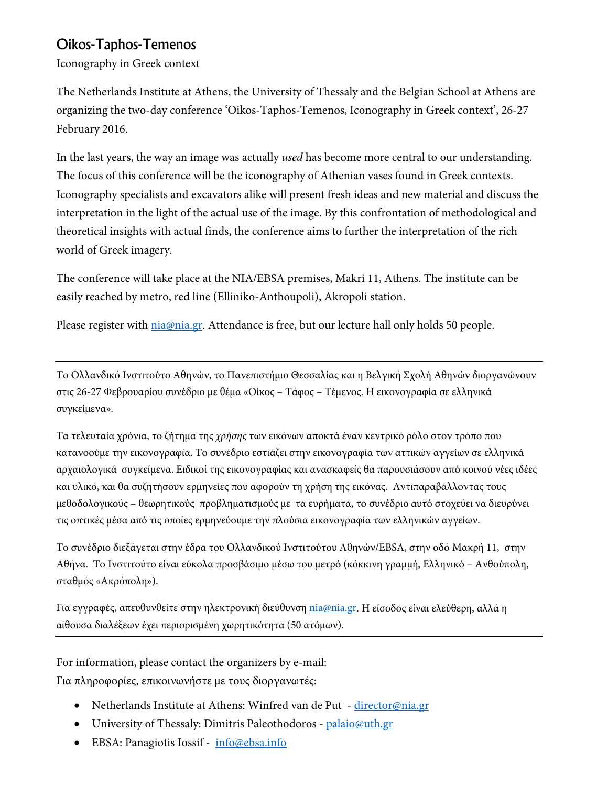### Oikos-Taphos-Temenos

Iconography in Greek context

The Netherlands Institute at Athens, the University of Thessaly and the Belgian School at Athens are organizing the two-day conference 'Oikos-Taphos-Temenos, Iconography in Greek context', 26-27 February 2016.

In the last years, the way an image was actually *used* has become more central to our understanding. The focus of this conference will be the iconography of Athenian vases found in Greek contexts. Iconography specialists and excavators alike will present fresh ideas and new material and discuss the interpretation in the light of the actual use of the image. By this confrontation of methodological and theoretical insights with actual finds, the conference aims to further the interpretation of the rich world of Greek imagery.

The conference will take place at the NIA/EBSA premises, Makri 11, Athens. The institute can be easily reached by metro, red line (Elliniko-Anthoupoli), Akropoli station.

Please register with *nia@nia.gr*. Attendance is free, but our lecture hall only holds 50 people.

Το Ολλανδικό Ινστιτούτο Αθηνών, το Πανεπιστήμιο Θεσσαλίας και η Βελγική Σχολή Αθηνών διοργανώνουν στις 26-27 Φεβρουαρίου συνέδριο με θέμα «Οίκος – Τάφος – Τέμενος. Η εικονογραφία σε ελληνικά συγκείμενα».

Τα τελευταία χρόνια, το ζήτημα της *χρήσης* των εικόνων αποκτά έναν κεντρικό ρόλο στον τρόπο που κατανοούμε την εικονογραφία. Το συνέδριο εστιάζει στην εικονογραφία των αττικών αγγείων σε ελληνικά αρχαιολογικά συγκείμενα. Ειδικοί της εικονογραφίας και ανασκαφείς θα παρουσιάσουν από κοινού νέες ιδέες και υλικό, και θα συζητήσουν ερμηνείες που αφορούν τη χρήση της εικόνας. Αντιπαραβάλλοντας τους μεθοδολογικούς – θεωρητικούς προβληματισμούς με τα ευρήματα, το συνέδριο αυτό στοχεύει να διευρύνει τις οπτικές μέσα από τις οποίες ερμηνεύουμε την πλούσια εικονογραφία των ελληνικών αγγείων.

Το συνέδριο διεξάγεται στην έδρα του Ολλανδικού Ινστιτούτου Αθηνών/EBSA, στην οδό Μακρή 11, στην Αθήνα. Το Ινστιτούτο είναι εύκολα προσβάσιμο μέσω του μετρό (κόκκινη γραμμή, Ελληνικό – Ανθούπολη, σταθμός «Ακρόπολη»).

Για εγγραφές, απευθυνθείτε στην ηλεκτρονική διεύθυνση [nia@nia.gr.](mailto:nia@nia.gr) Η είσοδος είναι ελεύθερη, αλλά η αίθουσα διαλέξεων έχει περιορισμένη χωρητικότητα (50 ατόμων).

For information, please contact the organizers by e-mail:

Για πληροφορίες, επικοινωνήστε με τους διοργανωτές:

- Netherlands Institute at Athens: Winfred van de Put [director@nia.gr](mailto:director@nia.gr)
- University of Thessaly: Dimitris Paleothodoros [palaio@uth.gr](mailto:palaio@uth.gr)
- EBSA: Panagiotis Iossif [info@ebsa.info](mailto:info@ebsa.info)